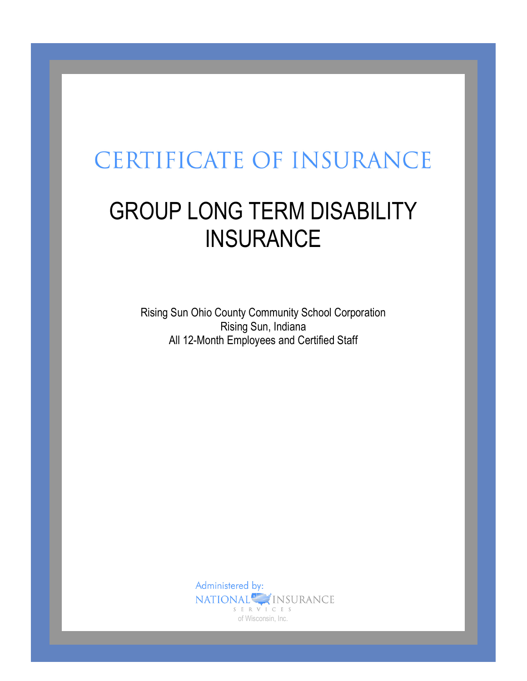# **CERTIFICATE OF INSURANCE**

# GROUP LONG TERM DISABILITY **INSURANCE**

Rising Sun Ohio County Community School Corporation Rising Sun, Indiana All 12-Month Employees and Certified Staff

> Administered by: NATIONAL<sup>S</sup>INSURANCE S E R V I C E S of Wisconsin, Inc.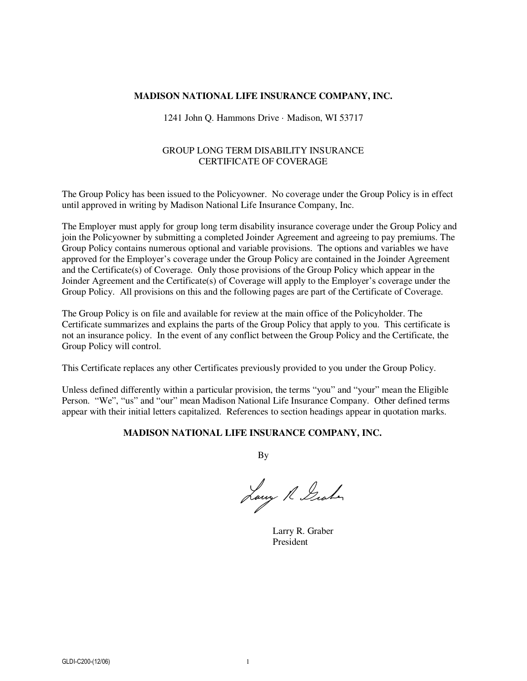#### **MADISON NATIONAL LIFE INSURANCE COMPANY, INC.**

#### 1241 John Q. Hammons Drive · Madison, WI 53717

#### GROUP LONG TERM DISABILITY INSURANCE CERTIFICATE OF COVERAGE

The Group Policy has been issued to the Policyowner. No coverage under the Group Policy is in effect until approved in writing by Madison National Life Insurance Company, Inc.

The Employer must apply for group long term disability insurance coverage under the Group Policy and join the Policyowner by submitting a completed Joinder Agreement and agreeing to pay premiums. The Group Policy contains numerous optional and variable provisions. The options and variables we have approved for the Employer's coverage under the Group Policy are contained in the Joinder Agreement and the Certificate(s) of Coverage. Only those provisions of the Group Policy which appear in the Joinder Agreement and the Certificate(s) of Coverage will apply to the Employer's coverage under the Group Policy. All provisions on this and the following pages are part of the Certificate of Coverage.

The Group Policy is on file and available for review at the main office of the Policyholder. The Certificate summarizes and explains the parts of the Group Policy that apply to you. This certificate is not an insurance policy. In the event of any conflict between the Group Policy and the Certificate, the Group Policy will control.

This Certificate replaces any other Certificates previously provided to you under the Group Policy.

Unless defined differently within a particular provision, the terms "you" and "your" mean the Eligible Person. "We", "us" and "our" mean Madison National Life Insurance Company. Other defined terms appear with their initial letters capitalized. References to section headings appear in quotation marks.

#### **MADISON NATIONAL LIFE INSURANCE COMPANY, INC.**

By

Larry R Graham

Larry R. Graber President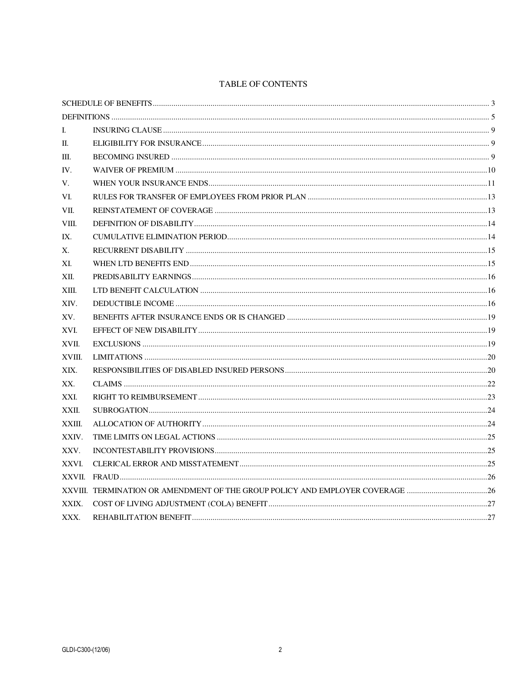#### TABLE OF CONTENTS

| I.     |                                                                               |  |  |
|--------|-------------------------------------------------------------------------------|--|--|
| П.     |                                                                               |  |  |
| Ш.     |                                                                               |  |  |
| IV.    |                                                                               |  |  |
| V.     |                                                                               |  |  |
| VI.    |                                                                               |  |  |
| VII.   |                                                                               |  |  |
| VIII.  |                                                                               |  |  |
| IX.    |                                                                               |  |  |
| Х.     |                                                                               |  |  |
| XI.    |                                                                               |  |  |
| XII.   |                                                                               |  |  |
| XIII.  |                                                                               |  |  |
| XIV.   |                                                                               |  |  |
| XV.    |                                                                               |  |  |
| XVI.   |                                                                               |  |  |
| XVII.  |                                                                               |  |  |
| XVIII. |                                                                               |  |  |
| XIX.   |                                                                               |  |  |
| XX.    |                                                                               |  |  |
| XXI.   |                                                                               |  |  |
| XXII.  |                                                                               |  |  |
| XXIII. |                                                                               |  |  |
| XXIV.  |                                                                               |  |  |
| XXV.   |                                                                               |  |  |
| XXVI.  |                                                                               |  |  |
|        |                                                                               |  |  |
|        | XXVIII. TERMINATION OR AMENDMENT OF THE GROUP POLICY AND EMPLOYER COVERAGE 26 |  |  |
| XXIX.  |                                                                               |  |  |
| XXX.   |                                                                               |  |  |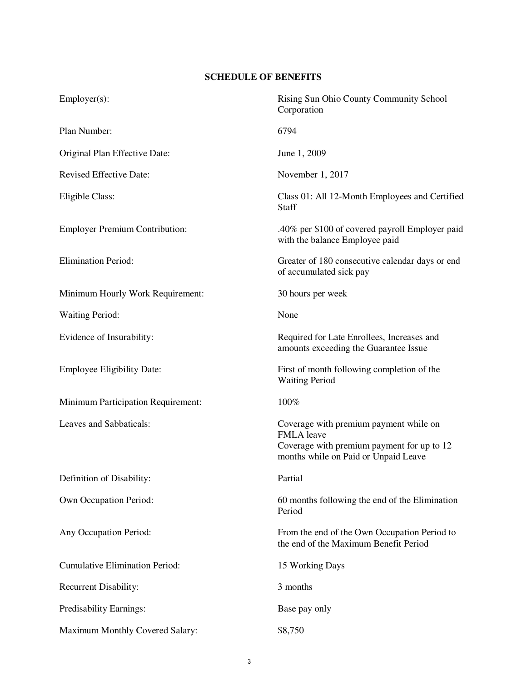# **SCHEDULE OF BENEFITS**

| $Employer(s)$ :                           | Rising Sun Ohio County Community School<br>Corporation                                                                                            |
|-------------------------------------------|---------------------------------------------------------------------------------------------------------------------------------------------------|
| Plan Number:                              | 6794                                                                                                                                              |
| Original Plan Effective Date:             | June 1, 2009                                                                                                                                      |
| Revised Effective Date:                   | November 1, 2017                                                                                                                                  |
| Eligible Class:                           | Class 01: All 12-Month Employees and Certified<br>Staff                                                                                           |
| <b>Employer Premium Contribution:</b>     | .40% per \$100 of covered payroll Employer paid<br>with the balance Employee paid                                                                 |
| <b>Elimination Period:</b>                | Greater of 180 consecutive calendar days or end<br>of accumulated sick pay                                                                        |
| Minimum Hourly Work Requirement:          | 30 hours per week                                                                                                                                 |
| <b>Waiting Period:</b>                    | None                                                                                                                                              |
| Evidence of Insurability:                 | Required for Late Enrollees, Increases and<br>amounts exceeding the Guarantee Issue                                                               |
| <b>Employee Eligibility Date:</b>         | First of month following completion of the<br><b>Waiting Period</b>                                                                               |
| <b>Minimum Participation Requirement:</b> | 100%                                                                                                                                              |
| Leaves and Sabbaticals:                   | Coverage with premium payment while on<br><b>FMLA</b> leave<br>Coverage with premium payment for up to 12<br>months while on Paid or Unpaid Leave |
| Definition of Disability:                 | Partial                                                                                                                                           |
| Own Occupation Period:                    | 60 months following the end of the Elimination<br>Period                                                                                          |
| Any Occupation Period:                    | From the end of the Own Occupation Period to<br>the end of the Maximum Benefit Period                                                             |
| <b>Cumulative Elimination Period:</b>     | 15 Working Days                                                                                                                                   |
| <b>Recurrent Disability:</b>              | 3 months                                                                                                                                          |
| Predisability Earnings:                   | Base pay only                                                                                                                                     |
| Maximum Monthly Covered Salary:           | \$8,750                                                                                                                                           |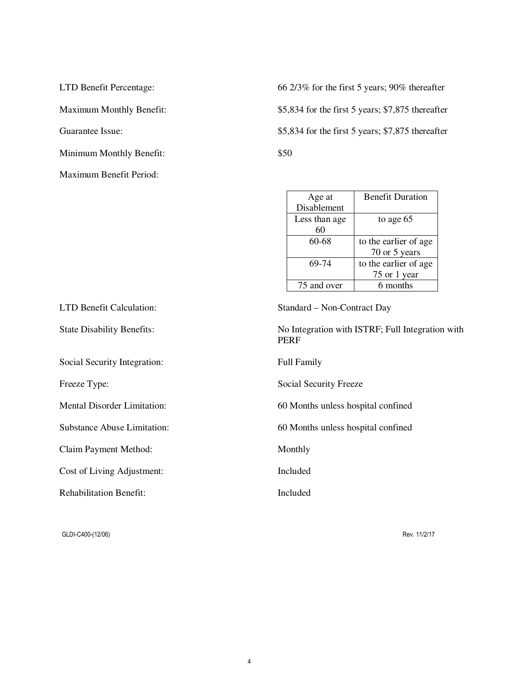Minimum Monthly Benefit:  $$50$ Maximum Benefit Period:

LTD Benefit Percentage: 66 2/3% for the first 5 years; 90% thereafter Maximum Monthly Benefit:  $$5,834$  for the first 5 years; \$7,875 thereafter Guarantee Issue: \$5,834 for the first 5 years; \$7,875 thereafter

| Age at        | <b>Benefit Duration</b> |
|---------------|-------------------------|
| Disablement   |                         |
| Less than age | to age 65               |
| 60            |                         |
| 60-68         | to the earlier of age.  |
|               | 70 or 5 years           |
| 69-74         | to the earlier of age   |
|               | 75 or 1 year            |
| 75 and over   | 6 months                |

| LTD Benefit Calculation:           | Standard – Non-Contract Day                                     |
|------------------------------------|-----------------------------------------------------------------|
| <b>State Disability Benefits:</b>  | No Integration with ISTRF; Full Integration with<br><b>PERF</b> |
| Social Security Integration:       | <b>Full Family</b>                                              |
| Freeze Type:                       | Social Security Freeze                                          |
| <b>Mental Disorder Limitation:</b> | 60 Months unless hospital confined                              |
| <b>Substance Abuse Limitation:</b> | 60 Months unless hospital confined                              |
| Claim Payment Method:              | Monthly                                                         |
| Cost of Living Adjustment:         | Included                                                        |
| <b>Rehabilitation Benefit:</b>     | Included                                                        |
|                                    |                                                                 |

GLDI-C400-(12/06) Rev. 11/2/17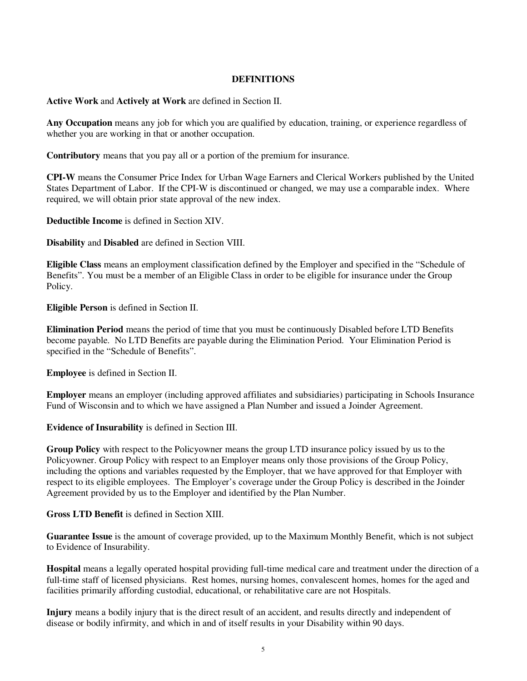#### **DEFINITIONS**

**Active Work** and **Actively at Work** are defined in Section II.

**Any Occupation** means any job for which you are qualified by education, training, or experience regardless of whether you are working in that or another occupation.

**Contributory** means that you pay all or a portion of the premium for insurance.

**CPI-W** means the Consumer Price Index for Urban Wage Earners and Clerical Workers published by the United States Department of Labor. If the CPI-W is discontinued or changed, we may use a comparable index. Where required, we will obtain prior state approval of the new index.

**Deductible Income** is defined in Section XIV.

**Disability** and **Disabled** are defined in Section VIII.

**Eligible Class** means an employment classification defined by the Employer and specified in the "Schedule of Benefits". You must be a member of an Eligible Class in order to be eligible for insurance under the Group Policy.

**Eligible Person** is defined in Section II.

**Elimination Period** means the period of time that you must be continuously Disabled before LTD Benefits become payable. No LTD Benefits are payable during the Elimination Period. Your Elimination Period is specified in the "Schedule of Benefits".

**Employee** is defined in Section II.

**Employer** means an employer (including approved affiliates and subsidiaries) participating in Schools Insurance Fund of Wisconsin and to which we have assigned a Plan Number and issued a Joinder Agreement.

**Evidence of Insurability** is defined in Section III.

**Group Policy** with respect to the Policyowner means the group LTD insurance policy issued by us to the Policyowner. Group Policy with respect to an Employer means only those provisions of the Group Policy, including the options and variables requested by the Employer, that we have approved for that Employer with respect to its eligible employees. The Employer's coverage under the Group Policy is described in the Joinder Agreement provided by us to the Employer and identified by the Plan Number.

**Gross LTD Benefit** is defined in Section XIII.

**Guarantee Issue** is the amount of coverage provided, up to the Maximum Monthly Benefit, which is not subject to Evidence of Insurability.

**Hospital** means a legally operated hospital providing full-time medical care and treatment under the direction of a full-time staff of licensed physicians. Rest homes, nursing homes, convalescent homes, homes for the aged and facilities primarily affording custodial, educational, or rehabilitative care are not Hospitals.

**Injury** means a bodily injury that is the direct result of an accident, and results directly and independent of disease or bodily infirmity, and which in and of itself results in your Disability within 90 days.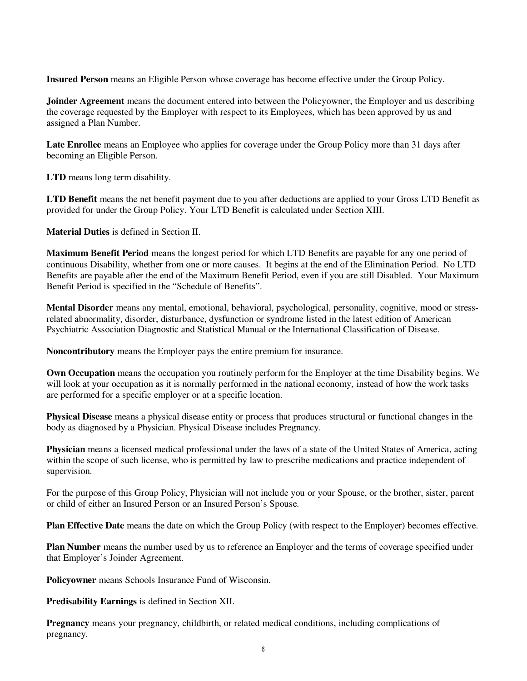**Insured Person** means an Eligible Person whose coverage has become effective under the Group Policy.

**Joinder Agreement** means the document entered into between the Policyowner, the Employer and us describing the coverage requested by the Employer with respect to its Employees, which has been approved by us and assigned a Plan Number.

**Late Enrollee** means an Employee who applies for coverage under the Group Policy more than 31 days after becoming an Eligible Person.

**LTD** means long term disability.

**LTD Benefit** means the net benefit payment due to you after deductions are applied to your Gross LTD Benefit as provided for under the Group Policy. Your LTD Benefit is calculated under Section XIII.

**Material Duties** is defined in Section II.

**Maximum Benefit Period** means the longest period for which LTD Benefits are payable for any one period of continuous Disability, whether from one or more causes. It begins at the end of the Elimination Period. No LTD Benefits are payable after the end of the Maximum Benefit Period, even if you are still Disabled. Your Maximum Benefit Period is specified in the "Schedule of Benefits".

**Mental Disorder** means any mental, emotional, behavioral, psychological, personality, cognitive, mood or stressrelated abnormality, disorder, disturbance, dysfunction or syndrome listed in the latest edition of American Psychiatric Association Diagnostic and Statistical Manual or the International Classification of Disease.

**Noncontributory** means the Employer pays the entire premium for insurance.

**Own Occupation** means the occupation you routinely perform for the Employer at the time Disability begins. We will look at your occupation as it is normally performed in the national economy, instead of how the work tasks are performed for a specific employer or at a specific location.

**Physical Disease** means a physical disease entity or process that produces structural or functional changes in the body as diagnosed by a Physician. Physical Disease includes Pregnancy.

**Physician** means a licensed medical professional under the laws of a state of the United States of America, acting within the scope of such license, who is permitted by law to prescribe medications and practice independent of supervision.

For the purpose of this Group Policy, Physician will not include you or your Spouse, or the brother, sister, parent or child of either an Insured Person or an Insured Person's Spouse.

**Plan Effective Date** means the date on which the Group Policy (with respect to the Employer) becomes effective.

**Plan Number** means the number used by us to reference an Employer and the terms of coverage specified under that Employer's Joinder Agreement.

**Policyowner** means Schools Insurance Fund of Wisconsin.

**Predisability Earnings** is defined in Section XII.

**Pregnancy** means your pregnancy, childbirth, or related medical conditions, including complications of pregnancy.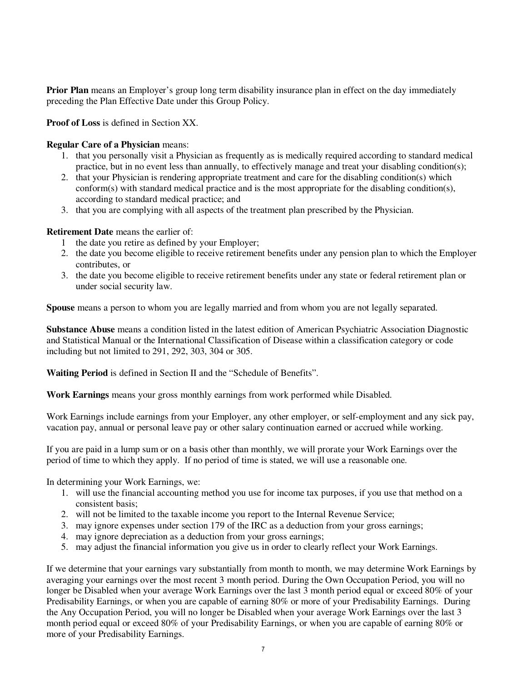**Prior Plan** means an Employer's group long term disability insurance plan in effect on the day immediately preceding the Plan Effective Date under this Group Policy.

**Proof of Loss** is defined in Section XX.

## **Regular Care of a Physician** means:

- 1. that you personally visit a Physician as frequently as is medically required according to standard medical practice, but in no event less than annually, to effectively manage and treat your disabling condition(s);
- 2. that your Physician is rendering appropriate treatment and care for the disabling condition(s) which conform(s) with standard medical practice and is the most appropriate for the disabling condition(s), according to standard medical practice; and
- 3. that you are complying with all aspects of the treatment plan prescribed by the Physician.

## **Retirement Date** means the earlier of:

- 1 the date you retire as defined by your Employer;
- 2. the date you become eligible to receive retirement benefits under any pension plan to which the Employer contributes, or
- 3. the date you become eligible to receive retirement benefits under any state or federal retirement plan or under social security law.

**Spouse** means a person to whom you are legally married and from whom you are not legally separated.

**Substance Abuse** means a condition listed in the latest edition of American Psychiatric Association Diagnostic and Statistical Manual or the International Classification of Disease within a classification category or code including but not limited to 291, 292, 303, 304 or 305.

**Waiting Period** is defined in Section II and the "Schedule of Benefits".

**Work Earnings** means your gross monthly earnings from work performed while Disabled.

Work Earnings include earnings from your Employer, any other employer, or self-employment and any sick pay, vacation pay, annual or personal leave pay or other salary continuation earned or accrued while working.

If you are paid in a lump sum or on a basis other than monthly, we will prorate your Work Earnings over the period of time to which they apply. If no period of time is stated, we will use a reasonable one.

In determining your Work Earnings, we:

- 1. will use the financial accounting method you use for income tax purposes, if you use that method on a consistent basis;
- 2. will not be limited to the taxable income you report to the Internal Revenue Service;
- 3. may ignore expenses under section 179 of the IRC as a deduction from your gross earnings;
- 4. may ignore depreciation as a deduction from your gross earnings;
- 5. may adjust the financial information you give us in order to clearly reflect your Work Earnings.

If we determine that your earnings vary substantially from month to month, we may determine Work Earnings by averaging your earnings over the most recent 3 month period. During the Own Occupation Period, you will no longer be Disabled when your average Work Earnings over the last 3 month period equal or exceed 80% of your Predisability Earnings, or when you are capable of earning 80% or more of your Predisability Earnings. During the Any Occupation Period, you will no longer be Disabled when your average Work Earnings over the last 3 month period equal or exceed 80% of your Predisability Earnings, or when you are capable of earning 80% or more of your Predisability Earnings.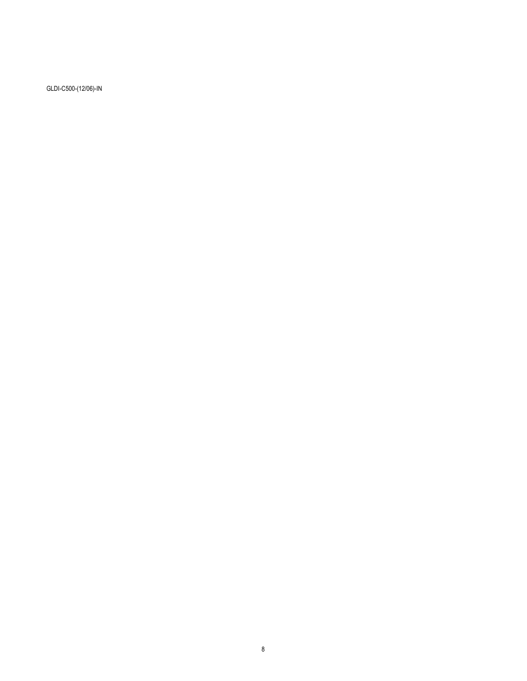GLDI-C500-(12/06)-IN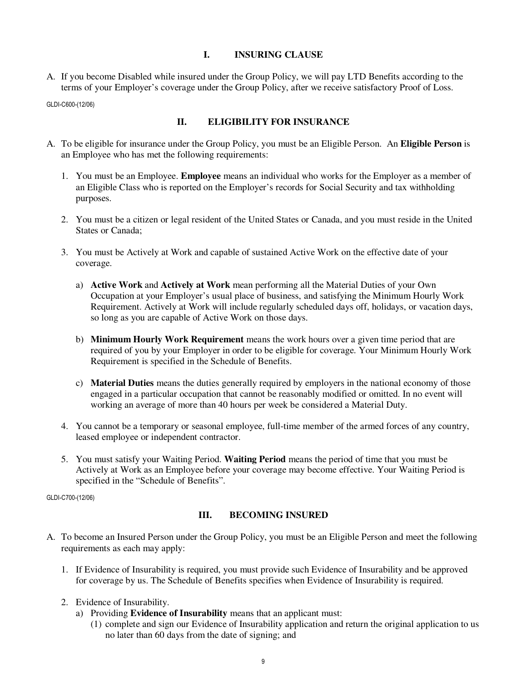## **I. INSURING CLAUSE**

A. If you become Disabled while insured under the Group Policy, we will pay LTD Benefits according to the terms of your Employer's coverage under the Group Policy, after we receive satisfactory Proof of Loss.

GLDI-C600-(12/06)

## **II. ELIGIBILITY FOR INSURANCE**

- A. To be eligible for insurance under the Group Policy, you must be an Eligible Person. An **Eligible Person** is an Employee who has met the following requirements:
	- 1. You must be an Employee. **Employee** means an individual who works for the Employer as a member of an Eligible Class who is reported on the Employer's records for Social Security and tax withholding purposes.
	- 2. You must be a citizen or legal resident of the United States or Canada, and you must reside in the United States or Canada;
	- 3. You must be Actively at Work and capable of sustained Active Work on the effective date of your coverage.
		- a) **Active Work** and **Actively at Work** mean performing all the Material Duties of your Own Occupation at your Employer's usual place of business, and satisfying the Minimum Hourly Work Requirement. Actively at Work will include regularly scheduled days off, holidays, or vacation days, so long as you are capable of Active Work on those days.
		- b) **Minimum Hourly Work Requirement** means the work hours over a given time period that are required of you by your Employer in order to be eligible for coverage. Your Minimum Hourly Work Requirement is specified in the Schedule of Benefits.
		- c) **Material Duties** means the duties generally required by employers in the national economy of those engaged in a particular occupation that cannot be reasonably modified or omitted. In no event will working an average of more than 40 hours per week be considered a Material Duty.
	- 4. You cannot be a temporary or seasonal employee, full-time member of the armed forces of any country, leased employee or independent contractor.
	- 5. You must satisfy your Waiting Period. **Waiting Period** means the period of time that you must be Actively at Work as an Employee before your coverage may become effective. Your Waiting Period is specified in the "Schedule of Benefits".

GLDI-C700-(12/06)

## **III. BECOMING INSURED**

- A. To become an Insured Person under the Group Policy, you must be an Eligible Person and meet the following requirements as each may apply:
	- 1. If Evidence of Insurability is required, you must provide such Evidence of Insurability and be approved for coverage by us. The Schedule of Benefits specifies when Evidence of Insurability is required.
	- 2. Evidence of Insurability.
		- a) Providing **Evidence of Insurability** means that an applicant must:
			- (1) complete and sign our Evidence of Insurability application and return the original application to us no later than 60 days from the date of signing; and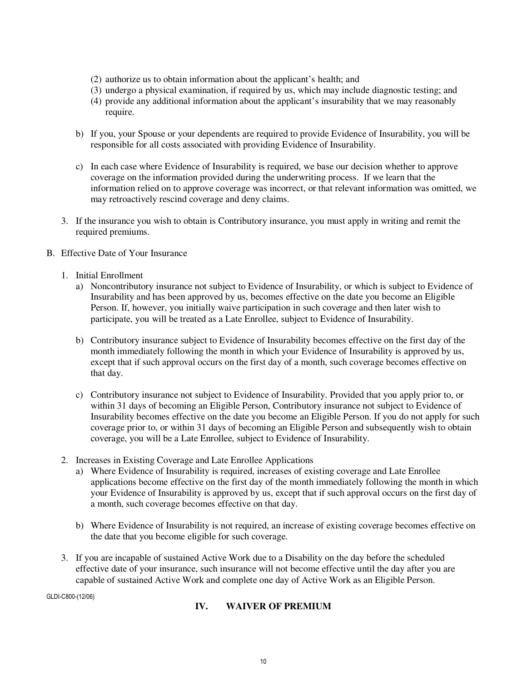- (2) authorize us to obtain information about the applicant's health; and
- (3) undergo a physical examination, if required by us, which may include diagnostic testing; and
- (4) provide any additional information about the applicant's insurability that we may reasonably require.
- b) If you, your Spouse or your dependents are required to provide Evidence of Insurability, you will be responsible for all costs associated with providing Evidence of Insurability.
- c) In each case where Evidence of Insurability is required, we base our decision whether to approve coverage on the information provided during the underwriting process. If we learn that the information relied on to approve coverage was incorrect, or that relevant information was omitted, we may retroactively rescind coverage and deny claims.
- 3. If the insurance you wish to obtain is Contributory insurance, you must apply in writing and remit the required premiums.
- B. Effective Date of Your Insurance
	- 1. Initial Enrollment
		- a) Noncontributory insurance not subject to Evidence of Insurability, or which is subject to Evidence of Insurability and has been approved by us, becomes effective on the date you become an Eligible Person. If, however, you initially waive participation in such coverage and then later wish to participate, you will be treated as a Late Enrollee, subject to Evidence of Insurability.
		- b) Contributory insurance subject to Evidence of Insurability becomes effective on the first day of the month immediately following the month in which your Evidence of Insurability is approved by us, except that if such approval occurs on the first day of a month, such coverage becomes effective on that day.
		- c) Contributory insurance not subject to Evidence of Insurability. Provided that you apply prior to, or within 31 days of becoming an Eligible Person, Contributory insurance not subject to Evidence of Insurability becomes effective on the date you become an Eligible Person. If you do not apply for such coverage prior to, or within 31 days of becoming an Eligible Person and subsequently wish to obtain coverage, you will be a Late Enrollee, subject to Evidence of Insurability.
	- 2. Increases in Existing Coverage and Late Enrollee Applications
		- a) Where Evidence of Insurability is required, increases of existing coverage and Late Enrollee applications become effective on the first day of the month immediately following the month in which your Evidence of Insurability is approved by us, except that if such approval occurs on the first day of a month, such coverage becomes effective on that day.
		- b) Where Evidence of Insurability is not required, an increase of existing coverage becomes effective on the date that you become eligible for such coverage.
	- 3. If you are incapable of sustained Active Work due to a Disability on the day before the scheduled effective date of your insurance, such insurance will not become effective until the day after you are capable of sustained Active Work and complete one day of Active Work as an Eligible Person.

GLDI-C800-(12/06)

#### **IV. WAIVER OF PREMIUM**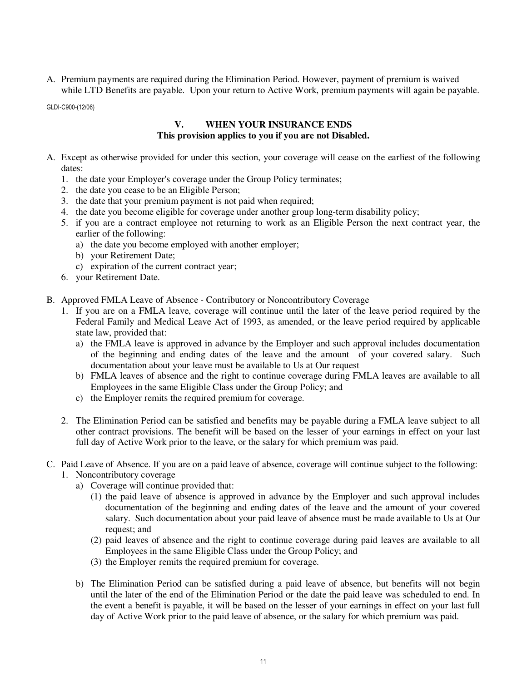A. Premium payments are required during the Elimination Period. However, payment of premium is waived while LTD Benefits are payable. Upon your return to Active Work, premium payments will again be payable.

GLDI-C900-(12/06)

## **V. WHEN YOUR INSURANCE ENDS This provision applies to you if you are not Disabled.**

- A. Except as otherwise provided for under this section, your coverage will cease on the earliest of the following dates:
	- 1. the date your Employer's coverage under the Group Policy terminates;
	- 2. the date you cease to be an Eligible Person;
	- 3. the date that your premium payment is not paid when required;
	- 4. the date you become eligible for coverage under another group long-term disability policy;
	- 5. if you are a contract employee not returning to work as an Eligible Person the next contract year, the earlier of the following:
		- a) the date you become employed with another employer;
		- b) your Retirement Date;
		- c) expiration of the current contract year;
	- 6. your Retirement Date.
- B. Approved FMLA Leave of Absence Contributory or Noncontributory Coverage
	- 1. If you are on a FMLA leave, coverage will continue until the later of the leave period required by the Federal Family and Medical Leave Act of 1993, as amended, or the leave period required by applicable state law, provided that:
		- a) the FMLA leave is approved in advance by the Employer and such approval includes documentation of the beginning and ending dates of the leave and the amount of your covered salary. Such documentation about your leave must be available to Us at Our request
		- b) FMLA leaves of absence and the right to continue coverage during FMLA leaves are available to all Employees in the same Eligible Class under the Group Policy; and
		- c) the Employer remits the required premium for coverage.
	- 2. The Elimination Period can be satisfied and benefits may be payable during a FMLA leave subject to all other contract provisions. The benefit will be based on the lesser of your earnings in effect on your last full day of Active Work prior to the leave, or the salary for which premium was paid.
- C. Paid Leave of Absence. If you are on a paid leave of absence, coverage will continue subject to the following:
	- 1. Noncontributory coverage
		- a) Coverage will continue provided that:
			- (1) the paid leave of absence is approved in advance by the Employer and such approval includes documentation of the beginning and ending dates of the leave and the amount of your covered salary. Such documentation about your paid leave of absence must be made available to Us at Our request; and
			- (2) paid leaves of absence and the right to continue coverage during paid leaves are available to all Employees in the same Eligible Class under the Group Policy; and
			- (3) the Employer remits the required premium for coverage.
		- b) The Elimination Period can be satisfied during a paid leave of absence, but benefits will not begin until the later of the end of the Elimination Period or the date the paid leave was scheduled to end. In the event a benefit is payable, it will be based on the lesser of your earnings in effect on your last full day of Active Work prior to the paid leave of absence, or the salary for which premium was paid.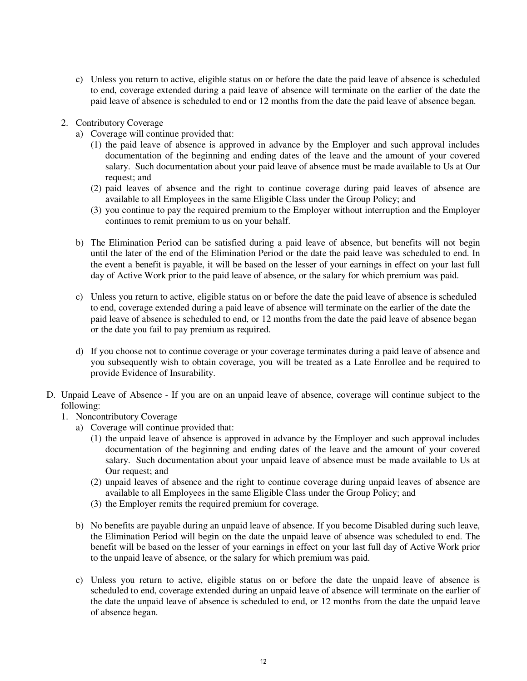- c) Unless you return to active, eligible status on or before the date the paid leave of absence is scheduled to end, coverage extended during a paid leave of absence will terminate on the earlier of the date the paid leave of absence is scheduled to end or 12 months from the date the paid leave of absence began.
- 2. Contributory Coverage
	- a) Coverage will continue provided that:
		- (1) the paid leave of absence is approved in advance by the Employer and such approval includes documentation of the beginning and ending dates of the leave and the amount of your covered salary. Such documentation about your paid leave of absence must be made available to Us at Our request; and
		- (2) paid leaves of absence and the right to continue coverage during paid leaves of absence are available to all Employees in the same Eligible Class under the Group Policy; and
		- (3) you continue to pay the required premium to the Employer without interruption and the Employer continues to remit premium to us on your behalf.
	- b) The Elimination Period can be satisfied during a paid leave of absence, but benefits will not begin until the later of the end of the Elimination Period or the date the paid leave was scheduled to end. In the event a benefit is payable, it will be based on the lesser of your earnings in effect on your last full day of Active Work prior to the paid leave of absence, or the salary for which premium was paid.
	- c) Unless you return to active, eligible status on or before the date the paid leave of absence is scheduled to end, coverage extended during a paid leave of absence will terminate on the earlier of the date the paid leave of absence is scheduled to end, or 12 months from the date the paid leave of absence began or the date you fail to pay premium as required.
	- d) If you choose not to continue coverage or your coverage terminates during a paid leave of absence and you subsequently wish to obtain coverage, you will be treated as a Late Enrollee and be required to provide Evidence of Insurability.
- D. Unpaid Leave of Absence If you are on an unpaid leave of absence, coverage will continue subject to the following:
	- 1. Noncontributory Coverage
		- a) Coverage will continue provided that:
			- (1) the unpaid leave of absence is approved in advance by the Employer and such approval includes documentation of the beginning and ending dates of the leave and the amount of your covered salary. Such documentation about your unpaid leave of absence must be made available to Us at Our request; and
			- (2) unpaid leaves of absence and the right to continue coverage during unpaid leaves of absence are available to all Employees in the same Eligible Class under the Group Policy; and
			- (3) the Employer remits the required premium for coverage.
		- b) No benefits are payable during an unpaid leave of absence. If you become Disabled during such leave, the Elimination Period will begin on the date the unpaid leave of absence was scheduled to end. The benefit will be based on the lesser of your earnings in effect on your last full day of Active Work prior to the unpaid leave of absence, or the salary for which premium was paid.
		- c) Unless you return to active, eligible status on or before the date the unpaid leave of absence is scheduled to end, coverage extended during an unpaid leave of absence will terminate on the earlier of the date the unpaid leave of absence is scheduled to end, or 12 months from the date the unpaid leave of absence began.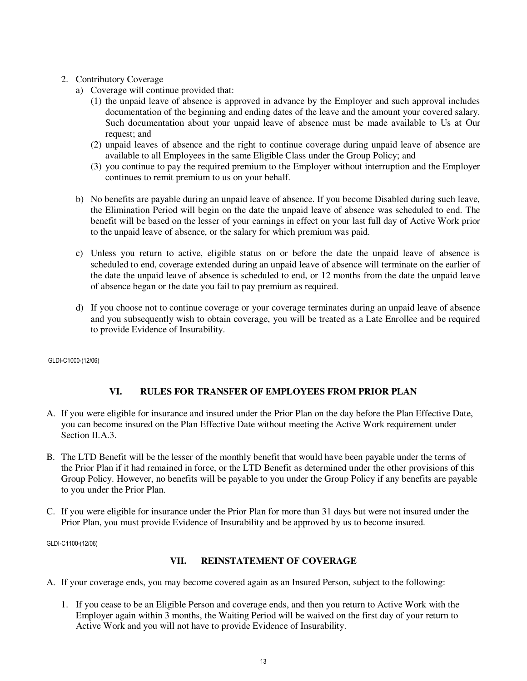## 2. Contributory Coverage

- a) Coverage will continue provided that:
	- (1) the unpaid leave of absence is approved in advance by the Employer and such approval includes documentation of the beginning and ending dates of the leave and the amount your covered salary. Such documentation about your unpaid leave of absence must be made available to Us at Our request; and
	- (2) unpaid leaves of absence and the right to continue coverage during unpaid leave of absence are available to all Employees in the same Eligible Class under the Group Policy; and
	- (3) you continue to pay the required premium to the Employer without interruption and the Employer continues to remit premium to us on your behalf.
- b) No benefits are payable during an unpaid leave of absence. If you become Disabled during such leave, the Elimination Period will begin on the date the unpaid leave of absence was scheduled to end. The benefit will be based on the lesser of your earnings in effect on your last full day of Active Work prior to the unpaid leave of absence, or the salary for which premium was paid.
- c) Unless you return to active, eligible status on or before the date the unpaid leave of absence is scheduled to end, coverage extended during an unpaid leave of absence will terminate on the earlier of the date the unpaid leave of absence is scheduled to end, or 12 months from the date the unpaid leave of absence began or the date you fail to pay premium as required.
- d) If you choose not to continue coverage or your coverage terminates during an unpaid leave of absence and you subsequently wish to obtain coverage, you will be treated as a Late Enrollee and be required to provide Evidence of Insurability.

GLDI-C1000-(12/06)

## **VI. RULES FOR TRANSFER OF EMPLOYEES FROM PRIOR PLAN**

- A. If you were eligible for insurance and insured under the Prior Plan on the day before the Plan Effective Date, you can become insured on the Plan Effective Date without meeting the Active Work requirement under Section II.A.3.
- B. The LTD Benefit will be the lesser of the monthly benefit that would have been payable under the terms of the Prior Plan if it had remained in force, or the LTD Benefit as determined under the other provisions of this Group Policy. However, no benefits will be payable to you under the Group Policy if any benefits are payable to you under the Prior Plan.
- C. If you were eligible for insurance under the Prior Plan for more than 31 days but were not insured under the Prior Plan, you must provide Evidence of Insurability and be approved by us to become insured.

GLDI-C1100-(12/06)

#### **VII. REINSTATEMENT OF COVERAGE**

- A. If your coverage ends, you may become covered again as an Insured Person, subject to the following:
	- 1. If you cease to be an Eligible Person and coverage ends, and then you return to Active Work with the Employer again within 3 months, the Waiting Period will be waived on the first day of your return to Active Work and you will not have to provide Evidence of Insurability.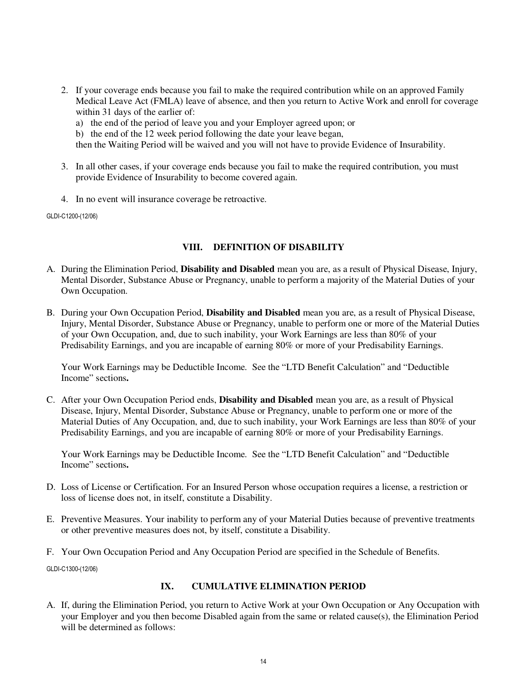- 2. If your coverage ends because you fail to make the required contribution while on an approved Family Medical Leave Act (FMLA) leave of absence, and then you return to Active Work and enroll for coverage within 31 days of the earlier of:
	- a) the end of the period of leave you and your Employer agreed upon; or
	- b) the end of the 12 week period following the date your leave began,

then the Waiting Period will be waived and you will not have to provide Evidence of Insurability.

- 3. In all other cases, if your coverage ends because you fail to make the required contribution, you must provide Evidence of Insurability to become covered again.
- 4. In no event will insurance coverage be retroactive.

GLDI-C1200-(12/06)

#### **VIII. DEFINITION OF DISABILITY**

- A. During the Elimination Period, **Disability and Disabled** mean you are, as a result of Physical Disease, Injury, Mental Disorder, Substance Abuse or Pregnancy, unable to perform a majority of the Material Duties of your Own Occupation.
- B. During your Own Occupation Period, **Disability and Disabled** mean you are, as a result of Physical Disease, Injury, Mental Disorder, Substance Abuse or Pregnancy, unable to perform one or more of the Material Duties of your Own Occupation, and, due to such inability, your Work Earnings are less than 80% of your Predisability Earnings, and you are incapable of earning 80% or more of your Predisability Earnings.

 Your Work Earnings may be Deductible Income. See the "LTD Benefit Calculation" and "Deductible Income" sections**.**

C. After your Own Occupation Period ends, **Disability and Disabled** mean you are, as a result of Physical Disease, Injury, Mental Disorder, Substance Abuse or Pregnancy, unable to perform one or more of the Material Duties of Any Occupation, and, due to such inability, your Work Earnings are less than 80% of your Predisability Earnings, and you are incapable of earning 80% or more of your Predisability Earnings.

 Your Work Earnings may be Deductible Income. See the "LTD Benefit Calculation" and "Deductible Income" sections**.** 

- D. Loss of License or Certification. For an Insured Person whose occupation requires a license, a restriction or loss of license does not, in itself, constitute a Disability.
- E. Preventive Measures. Your inability to perform any of your Material Duties because of preventive treatments or other preventive measures does not, by itself, constitute a Disability.
- F. Your Own Occupation Period and Any Occupation Period are specified in the Schedule of Benefits.

GLDI-C1300-(12/06)

## **IX. CUMULATIVE ELIMINATION PERIOD**

A. If, during the Elimination Period, you return to Active Work at your Own Occupation or Any Occupation with your Employer and you then become Disabled again from the same or related cause(s), the Elimination Period will be determined as follows: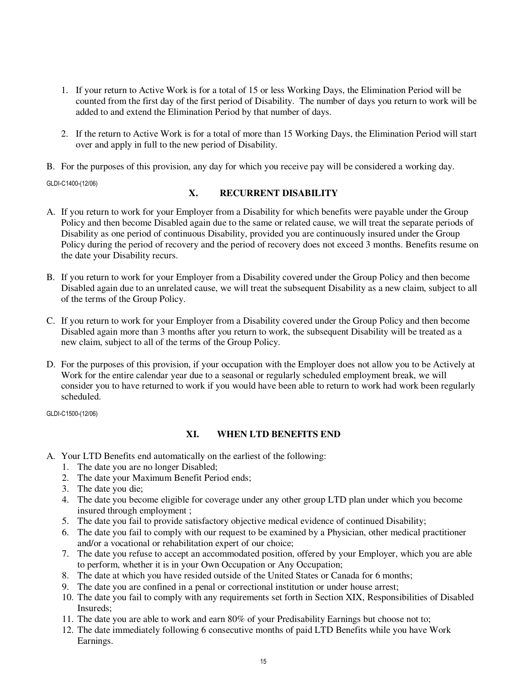- 1. If your return to Active Work is for a total of 15 or less Working Days, the Elimination Period will be counted from the first day of the first period of Disability. The number of days you return to work will be added to and extend the Elimination Period by that number of days.
- 2. If the return to Active Work is for a total of more than 15 Working Days, the Elimination Period will start over and apply in full to the new period of Disability.
- B. For the purposes of this provision, any day for which you receive pay will be considered a working day.

GLDI-C1400-(12/06)

#### **X. RECURRENT DISABILITY**

- A. If you return to work for your Employer from a Disability for which benefits were payable under the Group Policy and then become Disabled again due to the same or related cause, we will treat the separate periods of Disability as one period of continuous Disability, provided you are continuously insured under the Group Policy during the period of recovery and the period of recovery does not exceed 3 months. Benefits resume on the date your Disability recurs.
- B. If you return to work for your Employer from a Disability covered under the Group Policy and then become Disabled again due to an unrelated cause, we will treat the subsequent Disability as a new claim, subject to all of the terms of the Group Policy.
- C. If you return to work for your Employer from a Disability covered under the Group Policy and then become Disabled again more than 3 months after you return to work, the subsequent Disability will be treated as a new claim, subject to all of the terms of the Group Policy.
- D. For the purposes of this provision, if your occupation with the Employer does not allow you to be Actively at Work for the entire calendar year due to a seasonal or regularly scheduled employment break, we will consider you to have returned to work if you would have been able to return to work had work been regularly scheduled.

GLDI-C1500-(12/06)

#### **XI. WHEN LTD BENEFITS END**

- A. Your LTD Benefits end automatically on the earliest of the following:
	- 1. The date you are no longer Disabled;
	- 2. The date your Maximum Benefit Period ends;
	- 3. The date you die;
	- 4. The date you become eligible for coverage under any other group LTD plan under which you become insured through employment ;
	- 5. The date you fail to provide satisfactory objective medical evidence of continued Disability;
	- 6. The date you fail to comply with our request to be examined by a Physician, other medical practitioner and/or a vocational or rehabilitation expert of our choice;
	- 7. The date you refuse to accept an accommodated position, offered by your Employer, which you are able to perform, whether it is in your Own Occupation or Any Occupation;
	- 8. The date at which you have resided outside of the United States or Canada for 6 months;
	- 9. The date you are confined in a penal or correctional institution or under house arrest;
	- 10. The date you fail to comply with any requirements set forth in Section XIX, Responsibilities of Disabled Insureds;
	- 11. The date you are able to work and earn 80% of your Predisability Earnings but choose not to;
	- 12. The date immediately following 6 consecutive months of paid LTD Benefits while you have Work Earnings.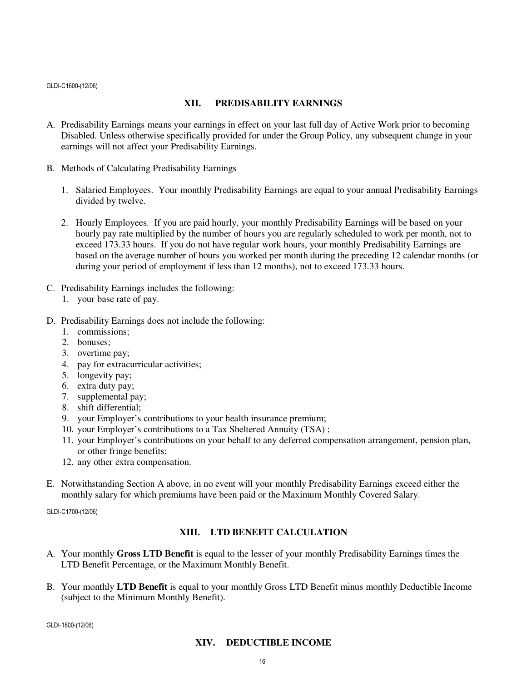GLDI-C1600-(12/06)

#### **XII. PREDISABILITY EARNINGS**

- A. Predisability Earnings means your earnings in effect on your last full day of Active Work prior to becoming Disabled. Unless otherwise specifically provided for under the Group Policy, any subsequent change in your earnings will not affect your Predisability Earnings.
- B. Methods of Calculating Predisability Earnings
	- 1. Salaried Employees. Your monthly Predisability Earnings are equal to your annual Predisability Earnings divided by twelve.
	- 2. Hourly Employees. If you are paid hourly, your monthly Predisability Earnings will be based on your hourly pay rate multiplied by the number of hours you are regularly scheduled to work per month, not to exceed 173.33 hours. If you do not have regular work hours, your monthly Predisability Earnings are based on the average number of hours you worked per month during the preceding 12 calendar months (or during your period of employment if less than 12 months), not to exceed 173.33 hours.
- C. Predisability Earnings includes the following:
	- 1. your base rate of pay.
- D. Predisability Earnings does not include the following:
	- 1. commissions;
	- 2. bonuses;
	- 3. overtime pay;
	- 4. pay for extracurricular activities;
	- 5. longevity pay;
	- 6. extra duty pay;
	- 7. supplemental pay;
	- 8. shift differential;
	- 9. your Employer's contributions to your health insurance premium;
	- 10. your Employer's contributions to a Tax Sheltered Annuity (TSA) ;
	- 11. your Employer's contributions on your behalf to any deferred compensation arrangement, pension plan, or other fringe benefits;
	- 12. any other extra compensation.
- E. Notwithstanding Section A above, in no event will your monthly Predisability Earnings exceed either the monthly salary for which premiums have been paid or the Maximum Monthly Covered Salary.

GLDI-C1700-(12/06)

#### **XIII. LTD BENEFIT CALCULATION**

- A. Your monthly **Gross LTD Benefit** is equal to the lesser of your monthly Predisability Earnings times the LTD Benefit Percentage, or the Maximum Monthly Benefit.
- B. Your monthly **LTD Benefit** is equal to your monthly Gross LTD Benefit minus monthly Deductible Income (subject to the Minimum Monthly Benefit).

GLDI-1800-(12/06)

#### **XIV. DEDUCTIBLE INCOME**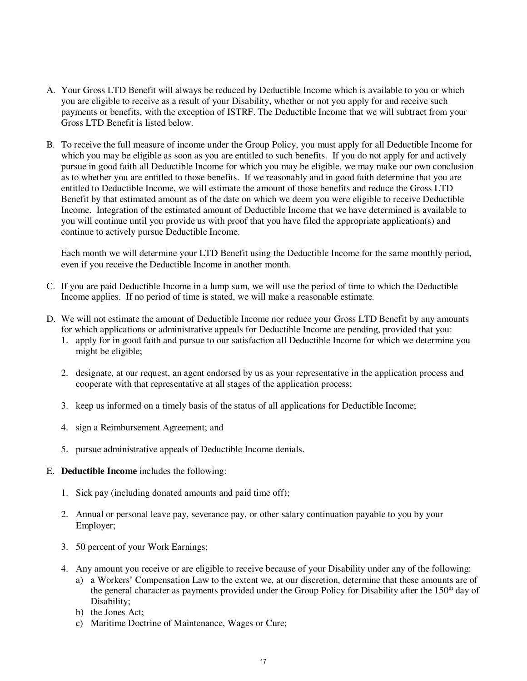- A. Your Gross LTD Benefit will always be reduced by Deductible Income which is available to you or which you are eligible to receive as a result of your Disability, whether or not you apply for and receive such payments or benefits, with the exception of ISTRF. The Deductible Income that we will subtract from your Gross LTD Benefit is listed below.
- B. To receive the full measure of income under the Group Policy, you must apply for all Deductible Income for which you may be eligible as soon as you are entitled to such benefits. If you do not apply for and actively pursue in good faith all Deductible Income for which you may be eligible, we may make our own conclusion as to whether you are entitled to those benefits. If we reasonably and in good faith determine that you are entitled to Deductible Income, we will estimate the amount of those benefits and reduce the Gross LTD Benefit by that estimated amount as of the date on which we deem you were eligible to receive Deductible Income. Integration of the estimated amount of Deductible Income that we have determined is available to you will continue until you provide us with proof that you have filed the appropriate application(s) and continue to actively pursue Deductible Income.

 Each month we will determine your LTD Benefit using the Deductible Income for the same monthly period, even if you receive the Deductible Income in another month.

- C. If you are paid Deductible Income in a lump sum, we will use the period of time to which the Deductible Income applies. If no period of time is stated, we will make a reasonable estimate.
- D. We will not estimate the amount of Deductible Income nor reduce your Gross LTD Benefit by any amounts for which applications or administrative appeals for Deductible Income are pending, provided that you:
	- 1. apply for in good faith and pursue to our satisfaction all Deductible Income for which we determine you might be eligible;
	- 2. designate, at our request, an agent endorsed by us as your representative in the application process and cooperate with that representative at all stages of the application process;
	- 3. keep us informed on a timely basis of the status of all applications for Deductible Income;
	- 4. sign a Reimbursement Agreement; and
	- 5. pursue administrative appeals of Deductible Income denials.
- E. **Deductible Income** includes the following:
	- 1. Sick pay (including donated amounts and paid time off);
	- 2. Annual or personal leave pay, severance pay, or other salary continuation payable to you by your Employer;
	- 3. 50 percent of your Work Earnings;
	- 4. Any amount you receive or are eligible to receive because of your Disability under any of the following:
		- a) a Workers' Compensation Law to the extent we, at our discretion, determine that these amounts are of the general character as payments provided under the Group Policy for Disability after the 150<sup>th</sup> day of Disability;
		- b) the Jones Act;
		- c) Maritime Doctrine of Maintenance, Wages or Cure;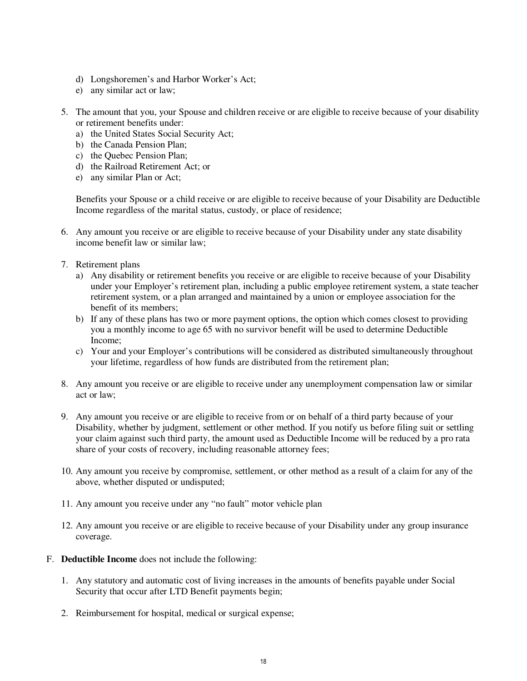- d) Longshoremen's and Harbor Worker's Act;
- e) any similar act or law;
- 5. The amount that you, your Spouse and children receive or are eligible to receive because of your disability or retirement benefits under:
	- a) the United States Social Security Act;
	- b) the Canada Pension Plan;
	- c) the Quebec Pension Plan;
	- d) the Railroad Retirement Act; or
	- e) any similar Plan or Act;

Benefits your Spouse or a child receive or are eligible to receive because of your Disability are Deductible Income regardless of the marital status, custody, or place of residence;

- 6. Any amount you receive or are eligible to receive because of your Disability under any state disability income benefit law or similar law;
- 7. Retirement plans
	- a) Any disability or retirement benefits you receive or are eligible to receive because of your Disability under your Employer's retirement plan, including a public employee retirement system, a state teacher retirement system, or a plan arranged and maintained by a union or employee association for the benefit of its members;
	- b) If any of these plans has two or more payment options, the option which comes closest to providing you a monthly income to age 65 with no survivor benefit will be used to determine Deductible Income;
	- c) Your and your Employer's contributions will be considered as distributed simultaneously throughout your lifetime, regardless of how funds are distributed from the retirement plan;
- 8. Any amount you receive or are eligible to receive under any unemployment compensation law or similar act or law;
- 9. Any amount you receive or are eligible to receive from or on behalf of a third party because of your Disability, whether by judgment, settlement or other method. If you notify us before filing suit or settling your claim against such third party, the amount used as Deductible Income will be reduced by a pro rata share of your costs of recovery, including reasonable attorney fees;
- 10. Any amount you receive by compromise, settlement, or other method as a result of a claim for any of the above, whether disputed or undisputed;
- 11. Any amount you receive under any "no fault" motor vehicle plan
- 12. Any amount you receive or are eligible to receive because of your Disability under any group insurance coverage.
- F. **Deductible Income** does not include the following:
	- 1. Any statutory and automatic cost of living increases in the amounts of benefits payable under Social Security that occur after LTD Benefit payments begin;
	- 2. Reimbursement for hospital, medical or surgical expense;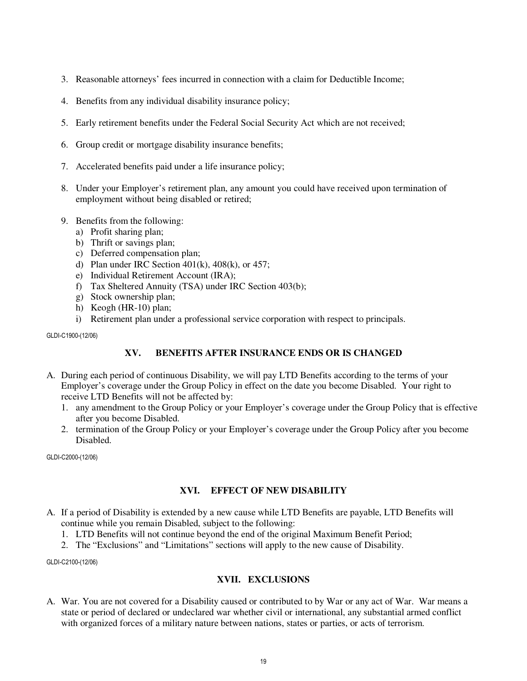- 3. Reasonable attorneys' fees incurred in connection with a claim for Deductible Income;
- 4. Benefits from any individual disability insurance policy;
- 5. Early retirement benefits under the Federal Social Security Act which are not received;
- 6. Group credit or mortgage disability insurance benefits;
- 7. Accelerated benefits paid under a life insurance policy;
- 8. Under your Employer's retirement plan, any amount you could have received upon termination of employment without being disabled or retired;
- 9. Benefits from the following:
	- a) Profit sharing plan;
	- b) Thrift or savings plan;
	- c) Deferred compensation plan;
	- d) Plan under IRC Section  $401(k)$ ,  $408(k)$ , or  $457$ ;
	- e) Individual Retirement Account (IRA);
	- f) Tax Sheltered Annuity (TSA) under IRC Section 403(b);
	- g) Stock ownership plan;
	- h) Keogh (HR-10) plan;
	- i) Retirement plan under a professional service corporation with respect to principals.

GLDI-C1900-(12/06)

#### **XV. BENEFITS AFTER INSURANCE ENDS OR IS CHANGED**

- A. During each period of continuous Disability, we will pay LTD Benefits according to the terms of your Employer's coverage under the Group Policy in effect on the date you become Disabled. Your right to receive LTD Benefits will not be affected by:
	- 1. any amendment to the Group Policy or your Employer's coverage under the Group Policy that is effective after you become Disabled.
	- 2. termination of the Group Policy or your Employer's coverage under the Group Policy after you become Disabled.

GLDI-C2000-(12/06)

#### **XVI. EFFECT OF NEW DISABILITY**

- A. If a period of Disability is extended by a new cause while LTD Benefits are payable, LTD Benefits will continue while you remain Disabled, subject to the following:
	- 1. LTD Benefits will not continue beyond the end of the original Maximum Benefit Period;
	- 2. The "Exclusions" and "Limitations" sections will apply to the new cause of Disability.

GLDI-C2100-(12/06)

#### **XVII. EXCLUSIONS**

A. War. You are not covered for a Disability caused or contributed to by War or any act of War. War means a state or period of declared or undeclared war whether civil or international, any substantial armed conflict with organized forces of a military nature between nations, states or parties, or acts of terrorism.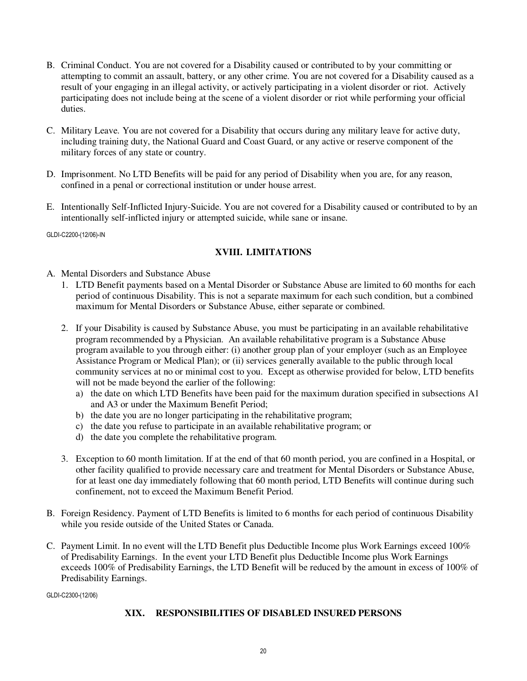- B. Criminal Conduct. You are not covered for a Disability caused or contributed to by your committing or attempting to commit an assault, battery, or any other crime. You are not covered for a Disability caused as a result of your engaging in an illegal activity, or actively participating in a violent disorder or riot. Actively participating does not include being at the scene of a violent disorder or riot while performing your official duties.
- C. Military Leave. You are not covered for a Disability that occurs during any military leave for active duty, including training duty, the National Guard and Coast Guard, or any active or reserve component of the military forces of any state or country.
- D. Imprisonment. No LTD Benefits will be paid for any period of Disability when you are, for any reason, confined in a penal or correctional institution or under house arrest.
- E. Intentionally Self-Inflicted Injury-Suicide. You are not covered for a Disability caused or contributed to by an intentionally self-inflicted injury or attempted suicide, while sane or insane.

GLDI-C2200-(12/06)-IN

## **XVIII. LIMITATIONS**

- A. Mental Disorders and Substance Abuse
	- 1. LTD Benefit payments based on a Mental Disorder or Substance Abuse are limited to 60 months for each period of continuous Disability. This is not a separate maximum for each such condition, but a combined maximum for Mental Disorders or Substance Abuse, either separate or combined.
	- 2. If your Disability is caused by Substance Abuse, you must be participating in an available rehabilitative program recommended by a Physician. An available rehabilitative program is a Substance Abuse program available to you through either: (i) another group plan of your employer (such as an Employee Assistance Program or Medical Plan); or (ii) services generally available to the public through local community services at no or minimal cost to you. Except as otherwise provided for below, LTD benefits will not be made beyond the earlier of the following:
		- a) the date on which LTD Benefits have been paid for the maximum duration specified in subsections A1 and A3 or under the Maximum Benefit Period;
		- b) the date you are no longer participating in the rehabilitative program;
		- c) the date you refuse to participate in an available rehabilitative program; or
		- d) the date you complete the rehabilitative program.
	- 3. Exception to 60 month limitation. If at the end of that 60 month period, you are confined in a Hospital, or other facility qualified to provide necessary care and treatment for Mental Disorders or Substance Abuse, for at least one day immediately following that 60 month period, LTD Benefits will continue during such confinement, not to exceed the Maximum Benefit Period.
- B. Foreign Residency. Payment of LTD Benefits is limited to 6 months for each period of continuous Disability while you reside outside of the United States or Canada.
- C. Payment Limit. In no event will the LTD Benefit plus Deductible Income plus Work Earnings exceed 100% of Predisability Earnings. In the event your LTD Benefit plus Deductible Income plus Work Earnings exceeds 100% of Predisability Earnings, the LTD Benefit will be reduced by the amount in excess of 100% of Predisability Earnings.

GLDI-C2300-(12/06)

#### **XIX. RESPONSIBILITIES OF DISABLED INSURED PERSONS**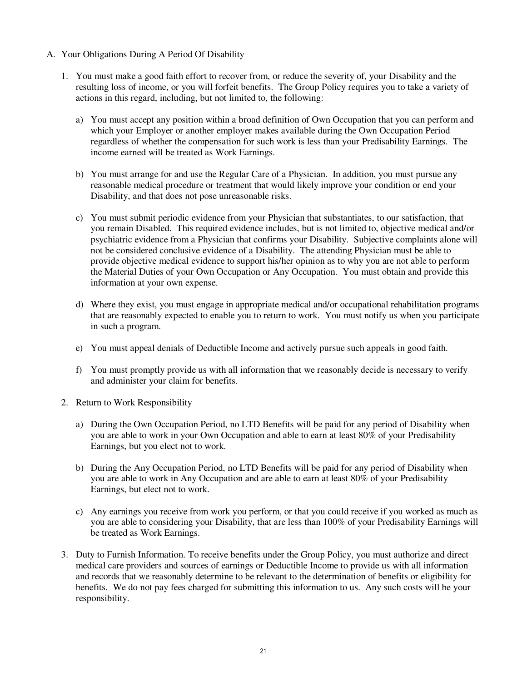- A. Your Obligations During A Period Of Disability
	- 1. You must make a good faith effort to recover from, or reduce the severity of, your Disability and the resulting loss of income, or you will forfeit benefits. The Group Policy requires you to take a variety of actions in this regard, including, but not limited to, the following:
		- a) You must accept any position within a broad definition of Own Occupation that you can perform and which your Employer or another employer makes available during the Own Occupation Period regardless of whether the compensation for such work is less than your Predisability Earnings. The income earned will be treated as Work Earnings.
		- b) You must arrange for and use the Regular Care of a Physician. In addition, you must pursue any reasonable medical procedure or treatment that would likely improve your condition or end your Disability, and that does not pose unreasonable risks.
		- c) You must submit periodic evidence from your Physician that substantiates, to our satisfaction, that you remain Disabled. This required evidence includes, but is not limited to, objective medical and/or psychiatric evidence from a Physician that confirms your Disability. Subjective complaints alone will not be considered conclusive evidence of a Disability. The attending Physician must be able to provide objective medical evidence to support his/her opinion as to why you are not able to perform the Material Duties of your Own Occupation or Any Occupation. You must obtain and provide this information at your own expense.
		- d) Where they exist, you must engage in appropriate medical and/or occupational rehabilitation programs that are reasonably expected to enable you to return to work. You must notify us when you participate in such a program.
		- e) You must appeal denials of Deductible Income and actively pursue such appeals in good faith.
		- f) You must promptly provide us with all information that we reasonably decide is necessary to verify and administer your claim for benefits.
	- 2. Return to Work Responsibility
		- a) During the Own Occupation Period, no LTD Benefits will be paid for any period of Disability when you are able to work in your Own Occupation and able to earn at least 80% of your Predisability Earnings, but you elect not to work.
		- b) During the Any Occupation Period, no LTD Benefits will be paid for any period of Disability when you are able to work in Any Occupation and are able to earn at least 80% of your Predisability Earnings, but elect not to work.
		- c) Any earnings you receive from work you perform, or that you could receive if you worked as much as you are able to considering your Disability, that are less than 100% of your Predisability Earnings will be treated as Work Earnings.
	- 3. Duty to Furnish Information. To receive benefits under the Group Policy, you must authorize and direct medical care providers and sources of earnings or Deductible Income to provide us with all information and records that we reasonably determine to be relevant to the determination of benefits or eligibility for benefits. We do not pay fees charged for submitting this information to us. Any such costs will be your responsibility.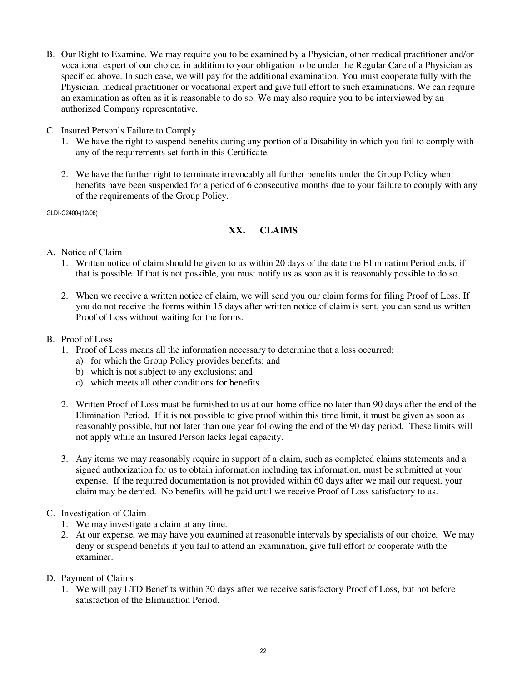- B. Our Right to Examine. We may require you to be examined by a Physician, other medical practitioner and/or vocational expert of our choice, in addition to your obligation to be under the Regular Care of a Physician as specified above. In such case, we will pay for the additional examination. You must cooperate fully with the Physician, medical practitioner or vocational expert and give full effort to such examinations. We can require an examination as often as it is reasonable to do so. We may also require you to be interviewed by an authorized Company representative.
- C. Insured Person's Failure to Comply
	- 1. We have the right to suspend benefits during any portion of a Disability in which you fail to comply with any of the requirements set forth in this Certificate.
	- 2. We have the further right to terminate irrevocably all further benefits under the Group Policy when benefits have been suspended for a period of 6 consecutive months due to your failure to comply with any of the requirements of the Group Policy.

GLDI-C2400-(12/06)

# **XX. CLAIMS**

- A. Notice of Claim
	- 1. Written notice of claim should be given to us within 20 days of the date the Elimination Period ends, if that is possible. If that is not possible, you must notify us as soon as it is reasonably possible to do so.
	- 2. When we receive a written notice of claim, we will send you our claim forms for filing Proof of Loss. If you do not receive the forms within 15 days after written notice of claim is sent, you can send us written Proof of Loss without waiting for the forms.
- B. Proof of Loss
	- 1. Proof of Loss means all the information necessary to determine that a loss occurred:
		- a) for which the Group Policy provides benefits; and
		- b) which is not subject to any exclusions; and
		- c) which meets all other conditions for benefits.
	- 2. Written Proof of Loss must be furnished to us at our home office no later than 90 days after the end of the Elimination Period. If it is not possible to give proof within this time limit, it must be given as soon as reasonably possible, but not later than one year following the end of the 90 day period. These limits will not apply while an Insured Person lacks legal capacity.
	- 3. Any items we may reasonably require in support of a claim, such as completed claims statements and a signed authorization for us to obtain information including tax information, must be submitted at your expense. If the required documentation is not provided within 60 days after we mail our request, your claim may be denied. No benefits will be paid until we receive Proof of Loss satisfactory to us.
- C. Investigation of Claim
	- 1. We may investigate a claim at any time.
	- 2. At our expense, we may have you examined at reasonable intervals by specialists of our choice. We may deny or suspend benefits if you fail to attend an examination, give full effort or cooperate with the examiner.
- D. Payment of Claims
	- 1. We will pay LTD Benefits within 30 days after we receive satisfactory Proof of Loss, but not before satisfaction of the Elimination Period.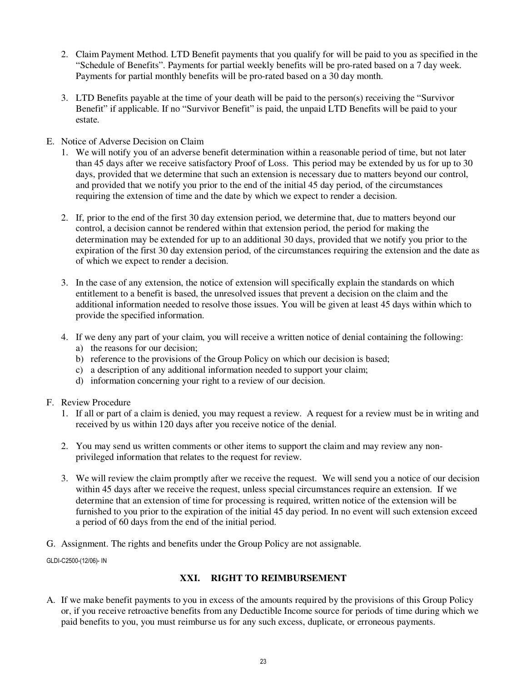- 2. Claim Payment Method. LTD Benefit payments that you qualify for will be paid to you as specified in the "Schedule of Benefits". Payments for partial weekly benefits will be pro-rated based on a 7 day week. Payments for partial monthly benefits will be pro-rated based on a 30 day month.
- 3. LTD Benefits payable at the time of your death will be paid to the person(s) receiving the "Survivor Benefit" if applicable. If no "Survivor Benefit" is paid, the unpaid LTD Benefits will be paid to your estate.
- E. Notice of Adverse Decision on Claim
	- 1. We will notify you of an adverse benefit determination within a reasonable period of time, but not later than 45 days after we receive satisfactory Proof of Loss. This period may be extended by us for up to 30 days, provided that we determine that such an extension is necessary due to matters beyond our control, and provided that we notify you prior to the end of the initial 45 day period, of the circumstances requiring the extension of time and the date by which we expect to render a decision.
	- 2. If, prior to the end of the first 30 day extension period, we determine that, due to matters beyond our control, a decision cannot be rendered within that extension period, the period for making the determination may be extended for up to an additional 30 days, provided that we notify you prior to the expiration of the first 30 day extension period, of the circumstances requiring the extension and the date as of which we expect to render a decision.
	- 3. In the case of any extension, the notice of extension will specifically explain the standards on which entitlement to a benefit is based, the unresolved issues that prevent a decision on the claim and the additional information needed to resolve those issues. You will be given at least 45 days within which to provide the specified information.
	- 4. If we deny any part of your claim, you will receive a written notice of denial containing the following:
		- a) the reasons for our decision;
		- b) reference to the provisions of the Group Policy on which our decision is based;
		- c) a description of any additional information needed to support your claim;
		- d) information concerning your right to a review of our decision.
- F. Review Procedure
	- 1. If all or part of a claim is denied, you may request a review. A request for a review must be in writing and received by us within 120 days after you receive notice of the denial.
	- 2. You may send us written comments or other items to support the claim and may review any nonprivileged information that relates to the request for review.
	- 3. We will review the claim promptly after we receive the request. We will send you a notice of our decision within 45 days after we receive the request, unless special circumstances require an extension. If we determine that an extension of time for processing is required, written notice of the extension will be furnished to you prior to the expiration of the initial 45 day period. In no event will such extension exceed a period of 60 days from the end of the initial period.
- G. Assignment. The rights and benefits under the Group Policy are not assignable.

GLDI-C2500-(12/06)- IN

#### **XXI. RIGHT TO REIMBURSEMENT**

A. If we make benefit payments to you in excess of the amounts required by the provisions of this Group Policy or, if you receive retroactive benefits from any Deductible Income source for periods of time during which we paid benefits to you, you must reimburse us for any such excess, duplicate, or erroneous payments.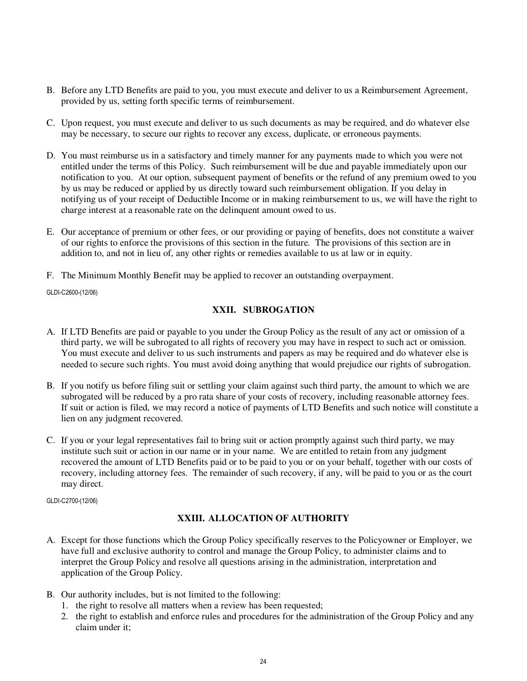- B. Before any LTD Benefits are paid to you, you must execute and deliver to us a Reimbursement Agreement, provided by us, setting forth specific terms of reimbursement.
- C. Upon request, you must execute and deliver to us such documents as may be required, and do whatever else may be necessary, to secure our rights to recover any excess, duplicate, or erroneous payments.
- D. You must reimburse us in a satisfactory and timely manner for any payments made to which you were not entitled under the terms of this Policy. Such reimbursement will be due and payable immediately upon our notification to you. At our option, subsequent payment of benefits or the refund of any premium owed to you by us may be reduced or applied by us directly toward such reimbursement obligation. If you delay in notifying us of your receipt of Deductible Income or in making reimbursement to us, we will have the right to charge interest at a reasonable rate on the delinquent amount owed to us.
- E. Our acceptance of premium or other fees, or our providing or paying of benefits, does not constitute a waiver of our rights to enforce the provisions of this section in the future. The provisions of this section are in addition to, and not in lieu of, any other rights or remedies available to us at law or in equity.
- F. The Minimum Monthly Benefit may be applied to recover an outstanding overpayment.

GLDI-C2600-(12/06)

## **XXII. SUBROGATION**

- A. If LTD Benefits are paid or payable to you under the Group Policy as the result of any act or omission of a third party, we will be subrogated to all rights of recovery you may have in respect to such act or omission. You must execute and deliver to us such instruments and papers as may be required and do whatever else is needed to secure such rights. You must avoid doing anything that would prejudice our rights of subrogation.
- B. If you notify us before filing suit or settling your claim against such third party, the amount to which we are subrogated will be reduced by a pro rata share of your costs of recovery, including reasonable attorney fees. If suit or action is filed, we may record a notice of payments of LTD Benefits and such notice will constitute a lien on any judgment recovered.
- C. If you or your legal representatives fail to bring suit or action promptly against such third party, we may institute such suit or action in our name or in your name. We are entitled to retain from any judgment recovered the amount of LTD Benefits paid or to be paid to you or on your behalf, together with our costs of recovery, including attorney fees. The remainder of such recovery, if any, will be paid to you or as the court may direct.

GLDI-C2700-(12/06)

## **XXIII. ALLOCATION OF AUTHORITY**

- A. Except for those functions which the Group Policy specifically reserves to the Policyowner or Employer, we have full and exclusive authority to control and manage the Group Policy, to administer claims and to interpret the Group Policy and resolve all questions arising in the administration, interpretation and application of the Group Policy.
- B. Our authority includes, but is not limited to the following:
	- 1. the right to resolve all matters when a review has been requested;
	- 2. the right to establish and enforce rules and procedures for the administration of the Group Policy and any claim under it;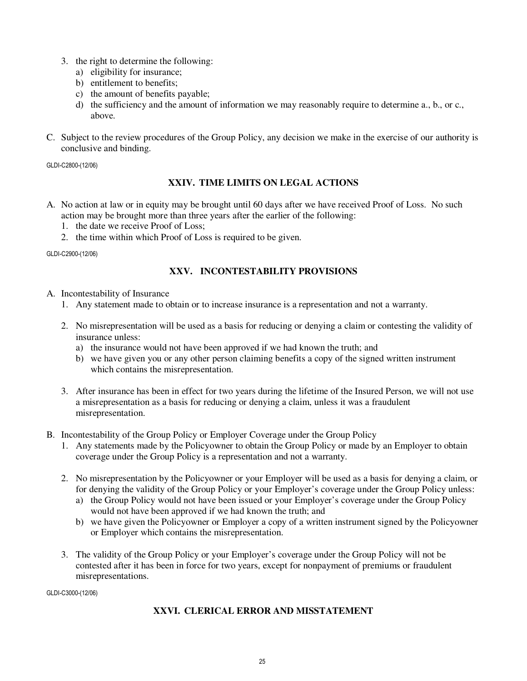- 3. the right to determine the following:
	- a) eligibility for insurance;
	- b) entitlement to benefits;
	- c) the amount of benefits payable;
	- d) the sufficiency and the amount of information we may reasonably require to determine a., b., or c., above.
- C. Subject to the review procedures of the Group Policy, any decision we make in the exercise of our authority is conclusive and binding.

GLDI-C2800-(12/06)

## **XXIV. TIME LIMITS ON LEGAL ACTIONS**

- A. No action at law or in equity may be brought until 60 days after we have received Proof of Loss. No such action may be brought more than three years after the earlier of the following:
	- 1. the date we receive Proof of Loss;
	- 2. the time within which Proof of Loss is required to be given.

GLDI-C2900-(12/06)

## **XXV. INCONTESTABILITY PROVISIONS**

- A. Incontestability of Insurance
	- 1. Any statement made to obtain or to increase insurance is a representation and not a warranty.
	- 2. No misrepresentation will be used as a basis for reducing or denying a claim or contesting the validity of insurance unless:
		- a) the insurance would not have been approved if we had known the truth; and
		- b) we have given you or any other person claiming benefits a copy of the signed written instrument which contains the misrepresentation.
	- 3. After insurance has been in effect for two years during the lifetime of the Insured Person, we will not use a misrepresentation as a basis for reducing or denying a claim, unless it was a fraudulent misrepresentation.
- B. Incontestability of the Group Policy or Employer Coverage under the Group Policy
	- 1. Any statements made by the Policyowner to obtain the Group Policy or made by an Employer to obtain coverage under the Group Policy is a representation and not a warranty.
	- 2. No misrepresentation by the Policyowner or your Employer will be used as a basis for denying a claim, or for denying the validity of the Group Policy or your Employer's coverage under the Group Policy unless:
		- a) the Group Policy would not have been issued or your Employer's coverage under the Group Policy would not have been approved if we had known the truth; and
		- b) we have given the Policyowner or Employer a copy of a written instrument signed by the Policyowner or Employer which contains the misrepresentation.
	- 3. The validity of the Group Policy or your Employer's coverage under the Group Policy will not be contested after it has been in force for two years, except for nonpayment of premiums or fraudulent misrepresentations.

GLDI-C3000-(12/06)

## **XXVI. CLERICAL ERROR AND MISSTATEMENT**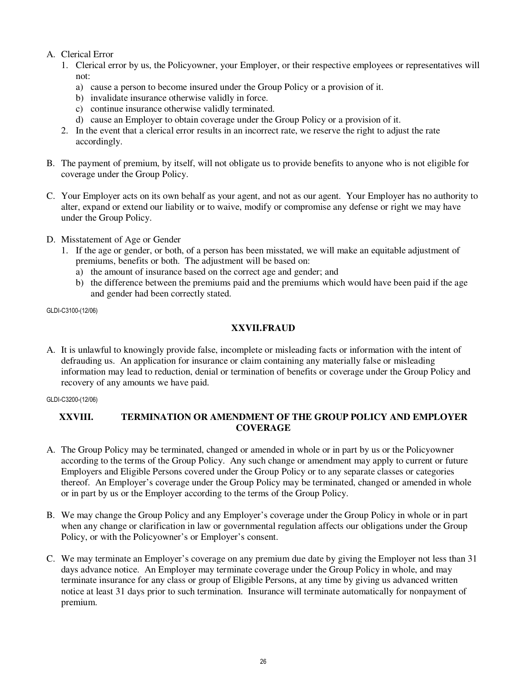## A. Clerical Error

- 1. Clerical error by us, the Policyowner, your Employer, or their respective employees or representatives will not:
	- a) cause a person to become insured under the Group Policy or a provision of it.
	- b) invalidate insurance otherwise validly in force.
	- c) continue insurance otherwise validly terminated.
	- d) cause an Employer to obtain coverage under the Group Policy or a provision of it.
- 2. In the event that a clerical error results in an incorrect rate, we reserve the right to adjust the rate accordingly.
- B. The payment of premium, by itself, will not obligate us to provide benefits to anyone who is not eligible for coverage under the Group Policy.
- C. Your Employer acts on its own behalf as your agent, and not as our agent. Your Employer has no authority to alter, expand or extend our liability or to waive, modify or compromise any defense or right we may have under the Group Policy.
- D. Misstatement of Age or Gender
	- 1. If the age or gender, or both, of a person has been misstated, we will make an equitable adjustment of premiums, benefits or both. The adjustment will be based on:
		- a) the amount of insurance based on the correct age and gender; and
		- b) the difference between the premiums paid and the premiums which would have been paid if the age and gender had been correctly stated.

GLDI-C3100-(12/06)

## **XXVII. FRAUD**

A. It is unlawful to knowingly provide false, incomplete or misleading facts or information with the intent of defrauding us. An application for insurance or claim containing any materially false or misleading information may lead to reduction, denial or termination of benefits or coverage under the Group Policy and recovery of any amounts we have paid.

GLDI-C3200-(12/06)

## **XXVIII. TERMINATION OR AMENDMENT OF THE GROUP POLICY AND EMPLOYER COVERAGE**

- A. The Group Policy may be terminated, changed or amended in whole or in part by us or the Policyowner according to the terms of the Group Policy. Any such change or amendment may apply to current or future Employers and Eligible Persons covered under the Group Policy or to any separate classes or categories thereof. An Employer's coverage under the Group Policy may be terminated, changed or amended in whole or in part by us or the Employer according to the terms of the Group Policy.
- B. We may change the Group Policy and any Employer's coverage under the Group Policy in whole or in part when any change or clarification in law or governmental regulation affects our obligations under the Group Policy, or with the Policyowner's or Employer's consent.
- C. We may terminate an Employer's coverage on any premium due date by giving the Employer not less than 31 days advance notice. An Employer may terminate coverage under the Group Policy in whole, and may terminate insurance for any class or group of Eligible Persons, at any time by giving us advanced written notice at least 31 days prior to such termination. Insurance will terminate automatically for nonpayment of premium.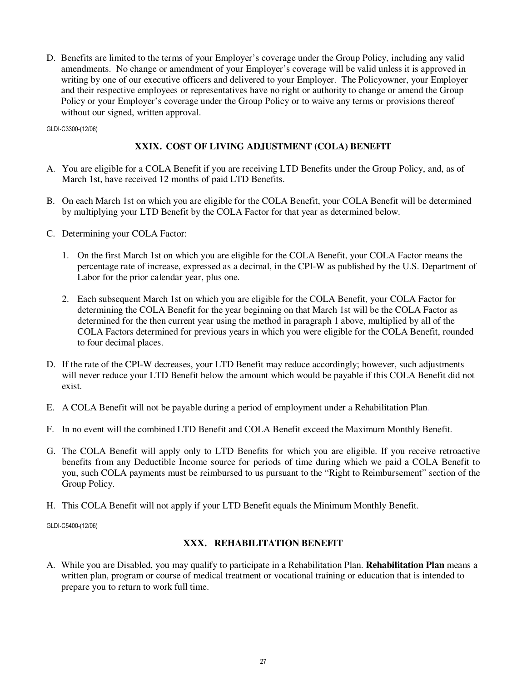D. Benefits are limited to the terms of your Employer's coverage under the Group Policy, including any valid amendments. No change or amendment of your Employer's coverage will be valid unless it is approved in writing by one of our executive officers and delivered to your Employer. The Policyowner, your Employer and their respective employees or representatives have no right or authority to change or amend the Group Policy or your Employer's coverage under the Group Policy or to waive any terms or provisions thereof without our signed, written approval.

GLDI-C3300-(12/06)

## **XXIX. COST OF LIVING ADJUSTMENT (COLA) BENEFIT**

- A. You are eligible for a COLA Benefit if you are receiving LTD Benefits under the Group Policy, and, as of March 1st, have received 12 months of paid LTD Benefits.
- B. On each March 1st on which you are eligible for the COLA Benefit, your COLA Benefit will be determined by multiplying your LTD Benefit by the COLA Factor for that year as determined below.
- C. Determining your COLA Factor:
	- 1. On the first March 1st on which you are eligible for the COLA Benefit, your COLA Factor means the percentage rate of increase, expressed as a decimal, in the CPI-W as published by the U.S. Department of Labor for the prior calendar year, plus one.
	- 2. Each subsequent March 1st on which you are eligible for the COLA Benefit, your COLA Factor for determining the COLA Benefit for the year beginning on that March 1st will be the COLA Factor as determined for the then current year using the method in paragraph 1 above, multiplied by all of the COLA Factors determined for previous years in which you were eligible for the COLA Benefit, rounded to four decimal places.
- D. If the rate of the CPI-W decreases, your LTD Benefit may reduce accordingly; however, such adjustments will never reduce your LTD Benefit below the amount which would be payable if this COLA Benefit did not exist.
- E. A COLA Benefit will not be payable during a period of employment under a Rehabilitation Plan.
- F. In no event will the combined LTD Benefit and COLA Benefit exceed the Maximum Monthly Benefit.
- G. The COLA Benefit will apply only to LTD Benefits for which you are eligible. If you receive retroactive benefits from any Deductible Income source for periods of time during which we paid a COLA Benefit to you, such COLA payments must be reimbursed to us pursuant to the "Right to Reimbursement" section of the Group Policy.
- H. This COLA Benefit will not apply if your LTD Benefit equals the Minimum Monthly Benefit.

GLDI-C5400-(12/06)

#### **XXX. REHABILITATION BENEFIT**

A. While you are Disabled, you may qualify to participate in a Rehabilitation Plan. **Rehabilitation Plan** means a written plan, program or course of medical treatment or vocational training or education that is intended to prepare you to return to work full time.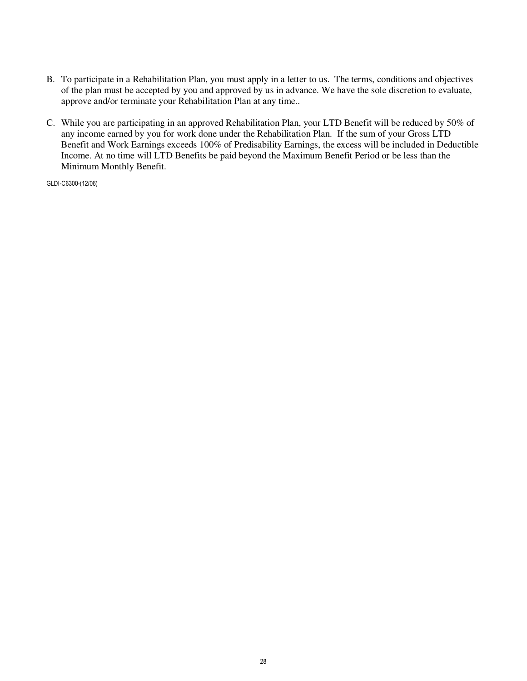- B. To participate in a Rehabilitation Plan, you must apply in a letter to us. The terms, conditions and objectives of the plan must be accepted by you and approved by us in advance. We have the sole discretion to evaluate, approve and/or terminate your Rehabilitation Plan at any time..
- C. While you are participating in an approved Rehabilitation Plan, your LTD Benefit will be reduced by 50% of any income earned by you for work done under the Rehabilitation Plan. If the sum of your Gross LTD Benefit and Work Earnings exceeds 100% of Predisability Earnings, the excess will be included in Deductible Income. At no time will LTD Benefits be paid beyond the Maximum Benefit Period or be less than the Minimum Monthly Benefit.

GLDI-C6300-(12/06)